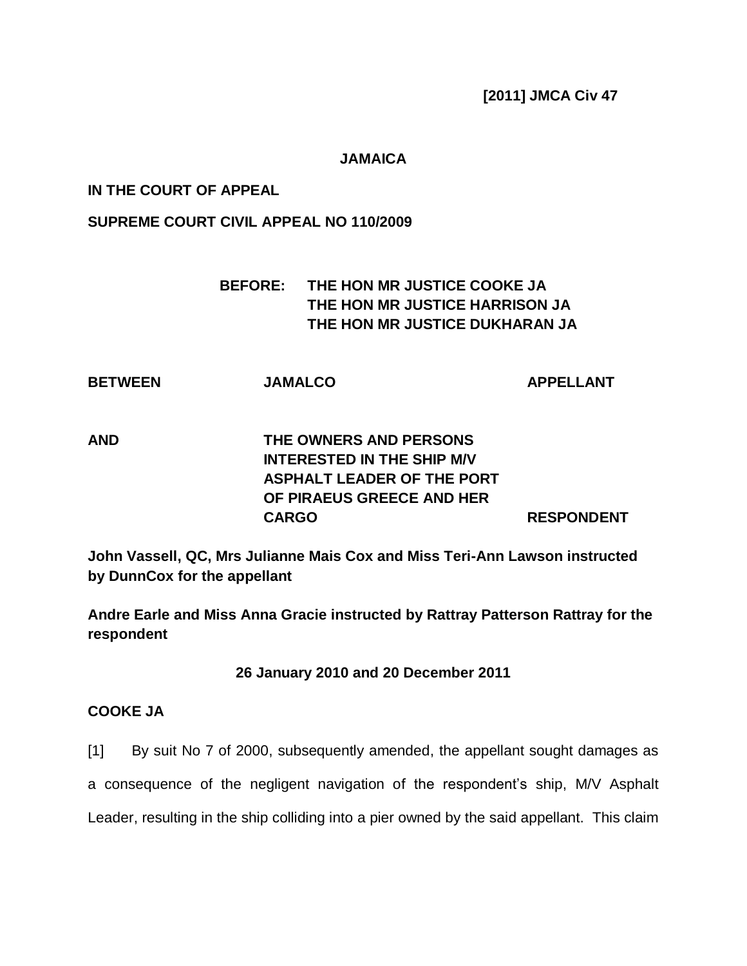**[2011] JMCA Civ 47**

#### **JAMAICA**

### **IN THE COURT OF APPEAL**

### **SUPREME COURT CIVIL APPEAL NO 110/2009**

# **BEFORE: THE HON MR JUSTICE COOKE JA THE HON MR JUSTICE HARRISON JA THE HON MR JUSTICE DUKHARAN JA**

| <b>BETWEEN</b> | <b>JAMALCO</b> | <b>APPELLANT</b> |
|----------------|----------------|------------------|
|----------------|----------------|------------------|

# **AND THE OWNERS AND PERSONS INTERESTED IN THE SHIP M/V ASPHALT LEADER OF THE PORT OF PIRAEUS GREECE AND HER CARGO RESPONDENT**

**John Vassell, QC, Mrs Julianne Mais Cox and Miss Teri-Ann Lawson instructed by DunnCox for the appellant**

**Andre Earle and Miss Anna Gracie instructed by Rattray Patterson Rattray for the respondent**

#### **26 January 2010 and 20 December 2011**

### **COOKE JA**

[1] By suit No 7 of 2000, subsequently amended, the appellant sought damages as

a consequence of the negligent navigation of the respondent's ship, M/V Asphalt

Leader, resulting in the ship colliding into a pier owned by the said appellant. This claim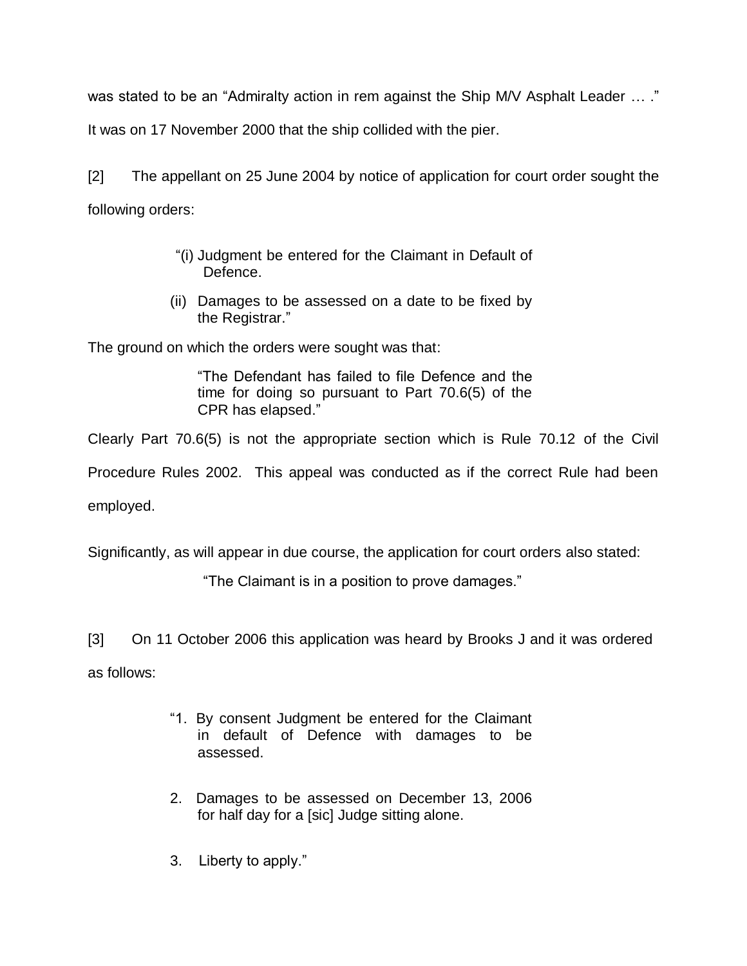was stated to be an "Admiralty action in rem against the Ship M/V Asphalt Leader … ."

It was on 17 November 2000 that the ship collided with the pier.

[2] The appellant on 25 June 2004 by notice of application for court order sought the following orders:

- "(i) Judgment be entered for the Claimant in Default of Defence.
- (ii) Damages to be assessed on a date to be fixed by the Registrar."

The ground on which the orders were sought was that:

"The Defendant has failed to file Defence and the time for doing so pursuant to Part 70.6(5) of the CPR has elapsed."

Clearly Part 70.6(5) is not the appropriate section which is Rule 70.12 of the Civil

Procedure Rules 2002. This appeal was conducted as if the correct Rule had been

employed.

Significantly, as will appear in due course, the application for court orders also stated:

"The Claimant is in a position to prove damages."

[3] On 11 October 2006 this application was heard by Brooks J and it was ordered

as follows:

- "1. By consent Judgment be entered for the Claimant in default of Defence with damages to be assessed.
- 2. Damages to be assessed on December 13, 2006 for half day for a [sic] Judge sitting alone.
- 3. Liberty to apply."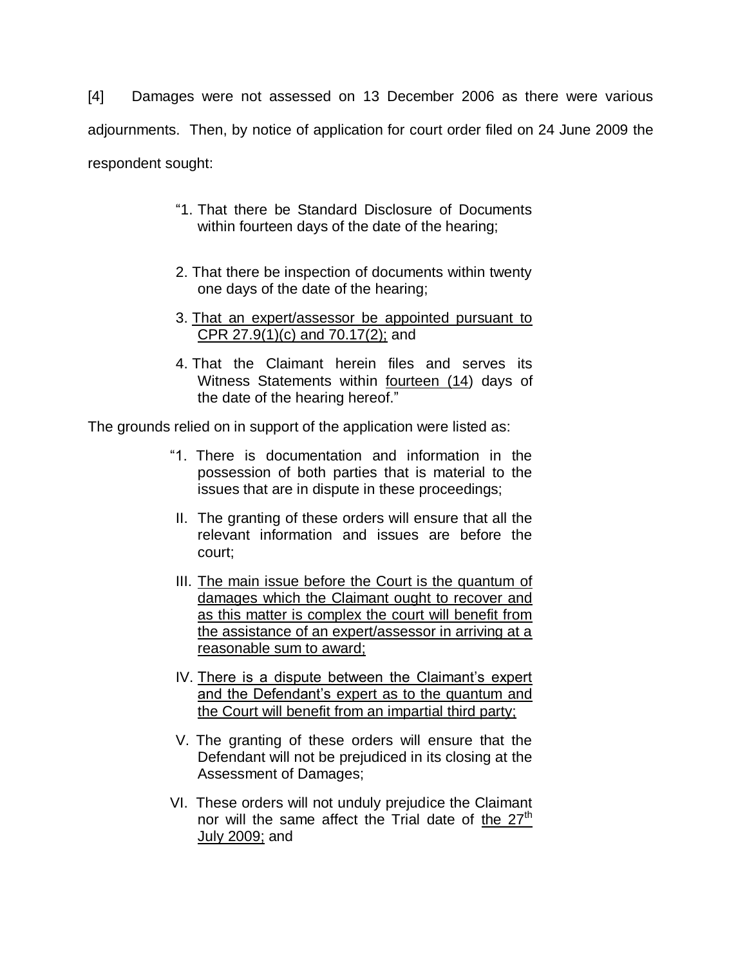[4] Damages were not assessed on 13 December 2006 as there were various adjournments. Then, by notice of application for court order filed on 24 June 2009 the respondent sought:

- "1. That there be Standard Disclosure of Documents within fourteen days of the date of the hearing;
- 2. That there be inspection of documents within twenty one days of the date of the hearing;
- 3. That an expert/assessor be appointed pursuant to CPR 27.9(1)(c) and 70.17(2); and
- 4. That the Claimant herein files and serves its Witness Statements within fourteen (14) days of the date of the hearing hereof."

The grounds relied on in support of the application were listed as:

- "1. There is documentation and information in the possession of both parties that is material to the issues that are in dispute in these proceedings;
- II. The granting of these orders will ensure that all the relevant information and issues are before the court;
- III. The main issue before the Court is the quantum of damages which the Claimant ought to recover and as this matter is complex the court will benefit from the assistance of an expert/assessor in arriving at a reasonable sum to award;
- IV. There is a dispute between the Claimant's expert and the Defendant"s expert as to the quantum and the Court will benefit from an impartial third party;
- V. The granting of these orders will ensure that the Defendant will not be prejudiced in its closing at the Assessment of Damages;
- VI. These orders will not unduly prejudice the Claimant nor will the same affect the Trial date of the  $27<sup>th</sup>$ July 2009; and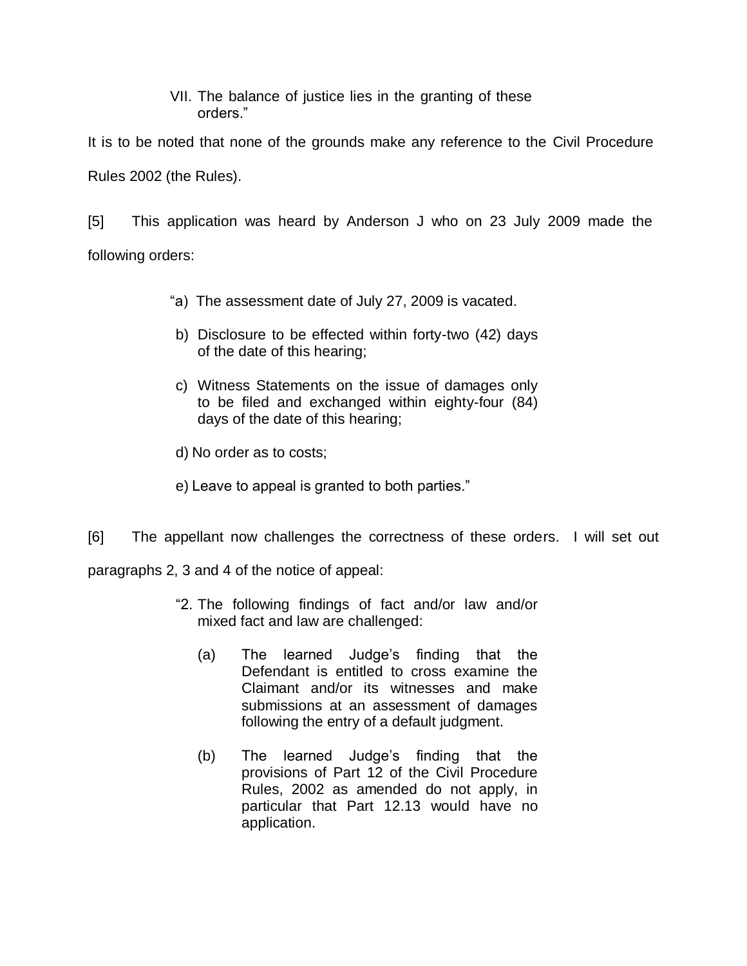### VII. The balance of justice lies in the granting of these orders."

It is to be noted that none of the grounds make any reference to the Civil Procedure Rules 2002 (the Rules).

[5] This application was heard by Anderson J who on 23 July 2009 made the following orders:

- "a) The assessment date of July 27, 2009 is vacated.
- b) Disclosure to be effected within forty-two (42) days of the date of this hearing;
- c) Witness Statements on the issue of damages only to be filed and exchanged within eighty-four (84) days of the date of this hearing;
- d) No order as to costs;
- e) Leave to appeal is granted to both parties."
- [6] The appellant now challenges the correctness of these orders. I will set out

paragraphs 2, 3 and 4 of the notice of appeal:

- "2. The following findings of fact and/or law and/or mixed fact and law are challenged:
	- (a) The learned Judge"s finding that the Defendant is entitled to cross examine the Claimant and/or its witnesses and make submissions at an assessment of damages following the entry of a default judgment.
	- (b) The learned Judge"s finding that the provisions of Part 12 of the Civil Procedure Rules, 2002 as amended do not apply, in particular that Part 12.13 would have no application.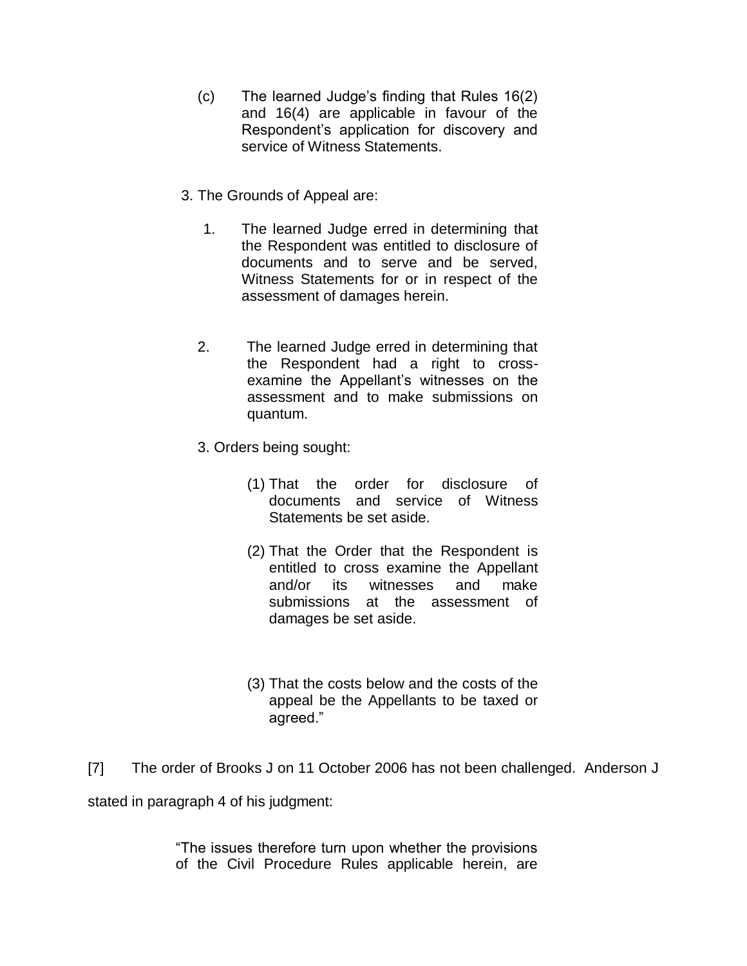- (c) The learned Judge"s finding that Rules 16(2) and 16(4) are applicable in favour of the Respondent"s application for discovery and service of Witness Statements.
- 3. The Grounds of Appeal are:
	- 1. The learned Judge erred in determining that the Respondent was entitled to disclosure of documents and to serve and be served, Witness Statements for or in respect of the assessment of damages herein.
	- 2. The learned Judge erred in determining that the Respondent had a right to crossexamine the Appellant"s witnesses on the assessment and to make submissions on quantum.
	- 3. Orders being sought:
		- (1) That the order for disclosure of documents and service of Witness Statements be set aside.
		- (2) That the Order that the Respondent is entitled to cross examine the Appellant and/or its witnesses and make submissions at the assessment of damages be set aside.
		- (3) That the costs below and the costs of the appeal be the Appellants to be taxed or agreed."
- [7] The order of Brooks J on 11 October 2006 has not been challenged. Anderson J stated in paragraph 4 of his judgment:

"The issues therefore turn upon whether the provisions of the Civil Procedure Rules applicable herein, are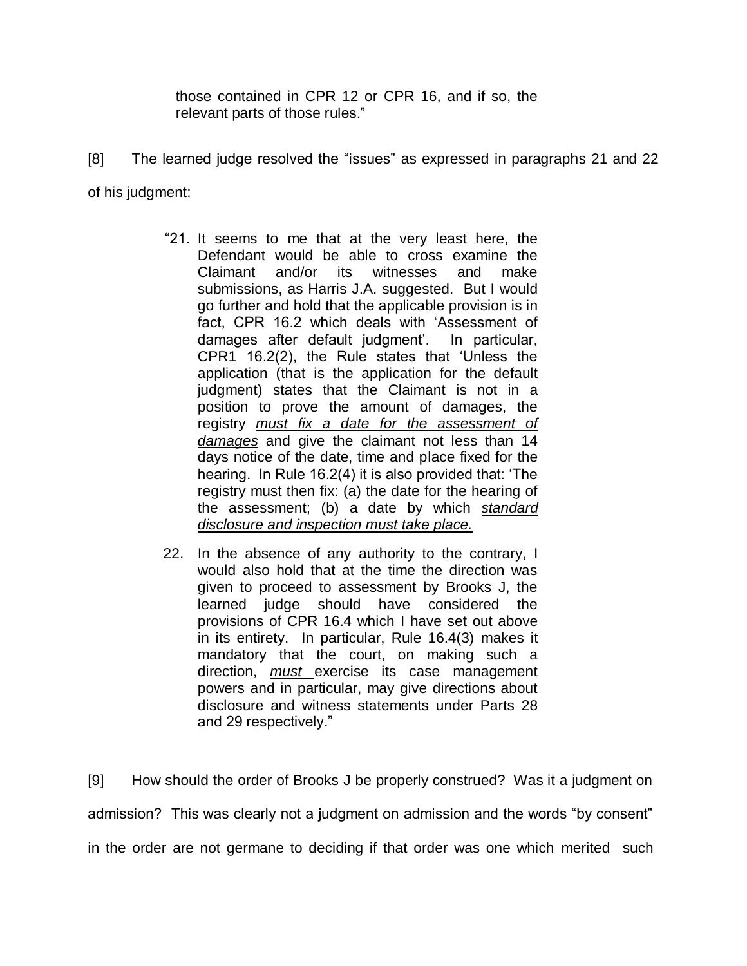those contained in CPR 12 or CPR 16, and if so, the relevant parts of those rules."

- [8] The learned judge resolved the "issues" as expressed in paragraphs 21 and 22 of his judgment:
	- "21. It seems to me that at the very least here, the Defendant would be able to cross examine the Claimant and/or its witnesses and make submissions, as Harris J.A. suggested. But I would go further and hold that the applicable provision is in fact, CPR 16.2 which deals with "Assessment of damages after default judgment'. In particular, CPR1 16.2(2), the Rule states that "Unless the application (that is the application for the default judgment) states that the Claimant is not in a position to prove the amount of damages, the registry *must fix a date for the assessment of damages* and give the claimant not less than 14 days notice of the date, time and place fixed for the hearing. In Rule 16.2(4) it is also provided that: "The registry must then fix: (a) the date for the hearing of the assessment; (b) a date by which *standard disclosure and inspection must take place.*
	- 22. In the absence of any authority to the contrary, I would also hold that at the time the direction was given to proceed to assessment by Brooks J, the learned judge should have considered the provisions of CPR 16.4 which I have set out above in its entirety. In particular, Rule 16.4(3) makes it mandatory that the court, on making such a direction, *must* exercise its case management powers and in particular, may give directions about disclosure and witness statements under Parts 28 and 29 respectively."

[9] How should the order of Brooks J be properly construed? Was it a judgment on admission? This was clearly not a judgment on admission and the words "by consent" in the order are not germane to deciding if that order was one which merited such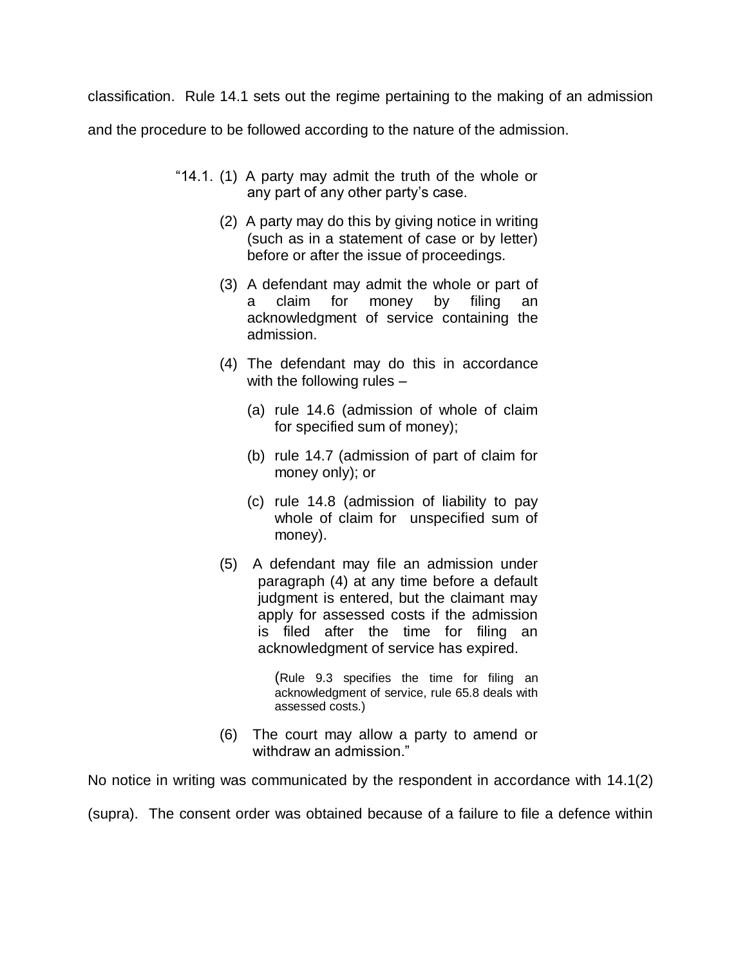classification. Rule 14.1 sets out the regime pertaining to the making of an admission

and the procedure to be followed according to the nature of the admission.

- "14.1. (1) A party may admit the truth of the whole or any part of any other party's case.
	- (2) A party may do this by giving notice in writing (such as in a statement of case or by letter) before or after the issue of proceedings.
	- (3) A defendant may admit the whole or part of claim for money by filing an acknowledgment of service containing the admission.
	- (4) The defendant may do this in accordance with the following rules –
		- (a) rule 14.6 (admission of whole of claim for specified sum of money);
		- (b) rule 14.7 (admission of part of claim for money only); or
		- (c) rule 14.8 (admission of liability to pay whole of claim for unspecified sum of money).
	- (5) A defendant may file an admission under paragraph (4) at any time before a default judgment is entered, but the claimant may apply for assessed costs if the admission is filed after the time for filing an acknowledgment of service has expired.

(Rule 9.3 specifies the time for filing an acknowledgment of service, rule 65.8 deals with assessed costs.)

 (6) The court may allow a party to amend or withdraw an admission."

No notice in writing was communicated by the respondent in accordance with 14.1(2)

(supra). The consent order was obtained because of a failure to file a defence within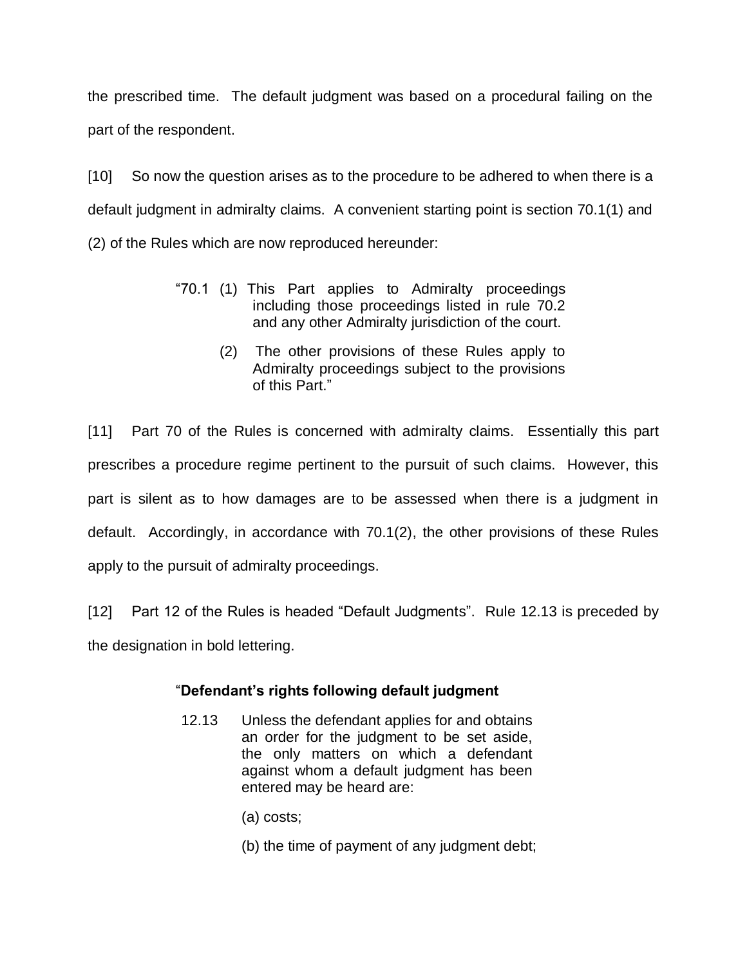the prescribed time. The default judgment was based on a procedural failing on the part of the respondent.

[10] So now the question arises as to the procedure to be adhered to when there is a default judgment in admiralty claims. A convenient starting point is section 70.1(1) and (2) of the Rules which are now reproduced hereunder:

- "70.1 (1) This Part applies to Admiralty proceedings including those proceedings listed in rule 70.2 and any other Admiralty jurisdiction of the court.
	- (2) The other provisions of these Rules apply to Admiralty proceedings subject to the provisions of this Part."

[11] Part 70 of the Rules is concerned with admiralty claims. Essentially this part prescribes a procedure regime pertinent to the pursuit of such claims. However, this part is silent as to how damages are to be assessed when there is a judgment in default. Accordingly, in accordance with 70.1(2), the other provisions of these Rules apply to the pursuit of admiralty proceedings.

[12] Part 12 of the Rules is headed "Default Judgments". Rule 12.13 is preceded by the designation in bold lettering.

### "**Defendant's rights following default judgment**

- 12.13 Unless the defendant applies for and obtains an order for the judgment to be set aside, the only matters on which a defendant against whom a default judgment has been entered may be heard are:
	- (a) costs;
	- (b) the time of payment of any judgment debt;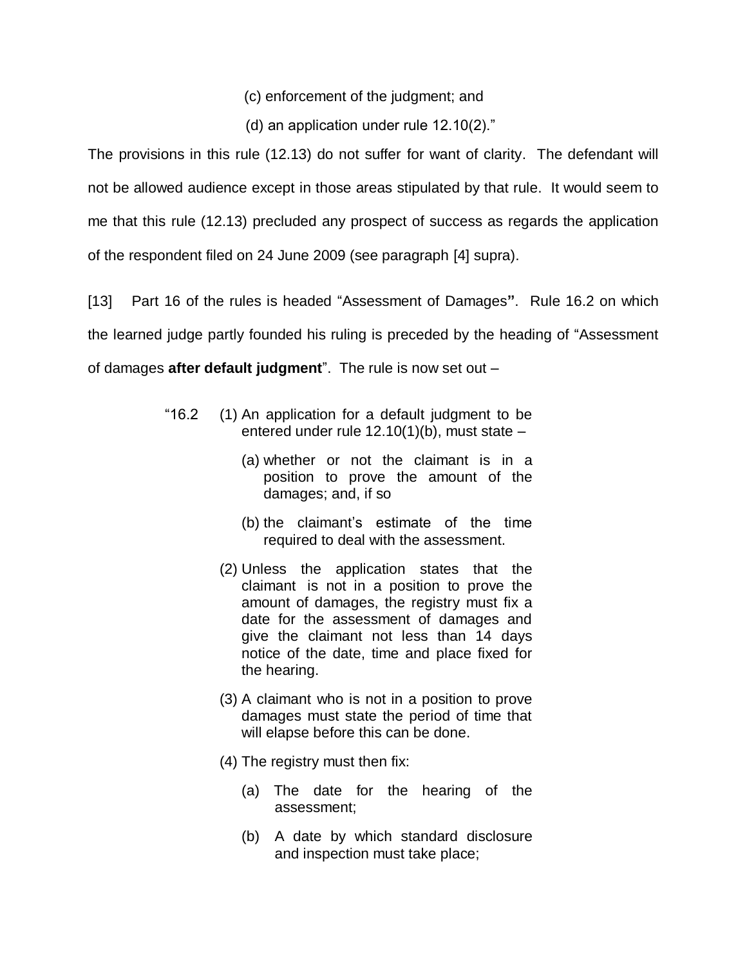(c) enforcement of the judgment; and

(d) an application under rule 12.10(2)."

The provisions in this rule (12.13) do not suffer for want of clarity. The defendant will not be allowed audience except in those areas stipulated by that rule. It would seem to me that this rule (12.13) precluded any prospect of success as regards the application of the respondent filed on 24 June 2009 (see paragraph [4] supra).

[13] Part 16 of the rules is headed "Assessment of Damages**"**. Rule 16.2 on which the learned judge partly founded his ruling is preceded by the heading of "Assessment of damages **after default judgment**". The rule is now set out –

- "16.2 (1) An application for a default judgment to be entered under rule 12.10(1)(b), must state –
	- (a) whether or not the claimant is in a position to prove the amount of the damages; and, if so
	- (b) the claimant"s estimate of the time required to deal with the assessment.
	- (2) Unless the application states that the claimant is not in a position to prove the amount of damages, the registry must fix a date for the assessment of damages and give the claimant not less than 14 days notice of the date, time and place fixed for the hearing.
	- (3) A claimant who is not in a position to prove damages must state the period of time that will elapse before this can be done.
	- (4) The registry must then fix:
		- (a) The date for the hearing of the assessment;
		- (b) A date by which standard disclosure and inspection must take place;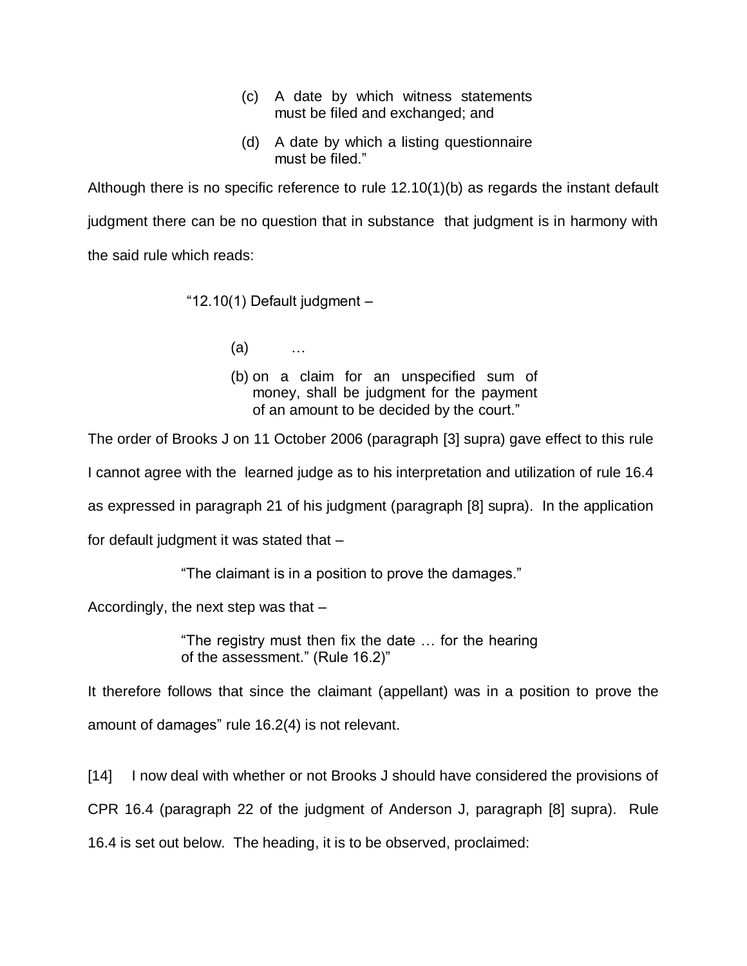- (c) A date by which witness statements must be filed and exchanged; and
- (d) A date by which a listing questionnaire must be filed."

Although there is no specific reference to rule 12.10(1)(b) as regards the instant default judgment there can be no question that in substance that judgment is in harmony with the said rule which reads:

"12.10(1) Default judgment –

(a) …

(b) on a claim for an unspecified sum of money, shall be judgment for the payment of an amount to be decided by the court."

The order of Brooks J on 11 October 2006 (paragraph [3] supra) gave effect to this rule

I cannot agree with the learned judge as to his interpretation and utilization of rule 16.4

as expressed in paragraph 21 of his judgment (paragraph [8] supra). In the application

for default judgment it was stated that –

"The claimant is in a position to prove the damages."

Accordingly, the next step was that –

"The registry must then fix the date … for the hearing of the assessment." (Rule 16.2)"

It therefore follows that since the claimant (appellant) was in a position to prove the amount of damages" rule 16.2(4) is not relevant.

[14] I now deal with whether or not Brooks J should have considered the provisions of CPR 16.4 (paragraph 22 of the judgment of Anderson J, paragraph [8] supra). Rule 16.4 is set out below. The heading, it is to be observed, proclaimed: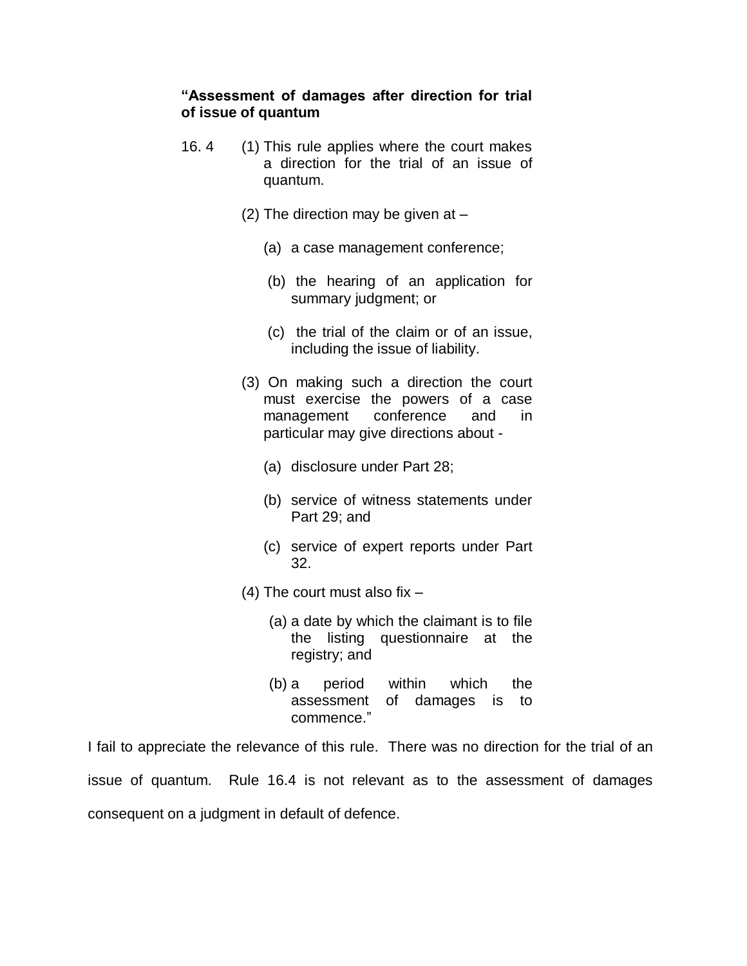### **"Assessment of damages after direction for trial of issue of quantum**

- 16. 4 (1) This rule applies where the court makes a direction for the trial of an issue of quantum.
	- (2) The direction may be given at  $-$ 
		- (a) a case management conference;
		- (b) the hearing of an application for summary judgment; or
		- (c) the trial of the claim or of an issue, including the issue of liability.
	- (3) On making such a direction the court must exercise the powers of a case management conference and in particular may give directions about -
		- (a) disclosure under Part 28;
		- (b) service of witness statements under Part 29; and
		- (c) service of expert reports under Part 32.
	- $(4)$  The court must also fix  $-$ 
		- (a) a date by which the claimant is to file the listing questionnaire at the registry; and
		- (b) a period within which the assessment of damages is to commence."

I fail to appreciate the relevance of this rule. There was no direction for the trial of an issue of quantum. Rule 16.4 is not relevant as to the assessment of damages consequent on a judgment in default of defence.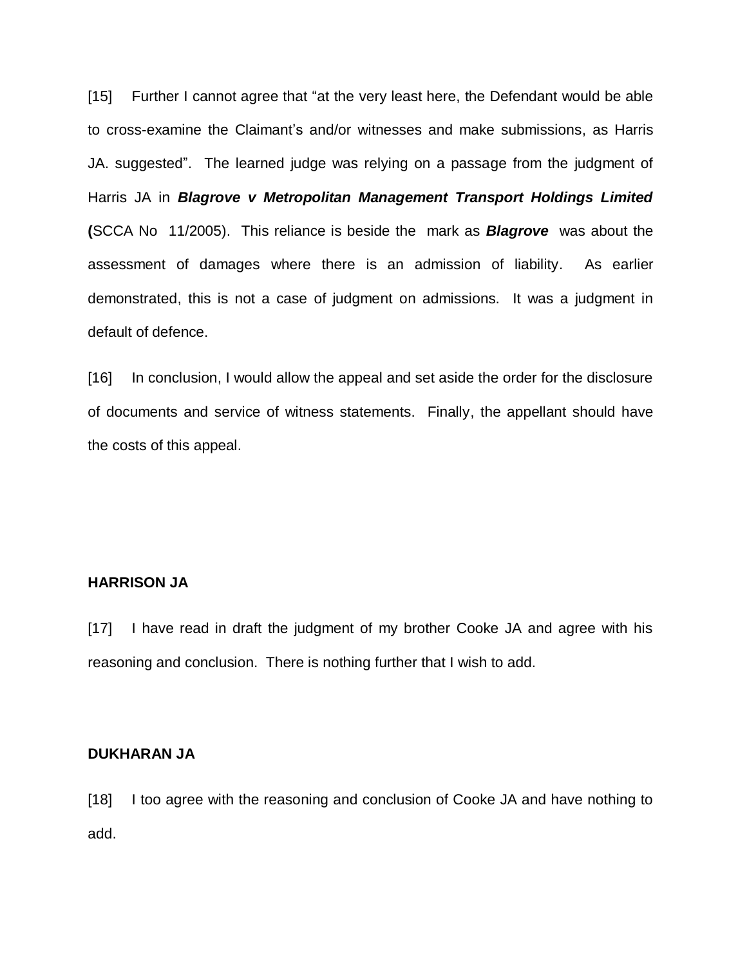[15] Further I cannot agree that "at the very least here, the Defendant would be able to cross-examine the Claimant"s and/or witnesses and make submissions, as Harris JA. suggested". The learned judge was relying on a passage from the judgment of Harris JA in *Blagrove v Metropolitan Management Transport Holdings Limited* **(**SCCA No 11/2005). This reliance is beside the mark as *Blagrove* was about the assessment of damages where there is an admission of liability. As earlier demonstrated, this is not a case of judgment on admissions. It was a judgment in default of defence.

[16] In conclusion, I would allow the appeal and set aside the order for the disclosure of documents and service of witness statements. Finally, the appellant should have the costs of this appeal.

#### **HARRISON JA**

[17] I have read in draft the judgment of my brother Cooke JA and agree with his reasoning and conclusion. There is nothing further that I wish to add.

#### **DUKHARAN JA**

[18] I too agree with the reasoning and conclusion of Cooke JA and have nothing to add.